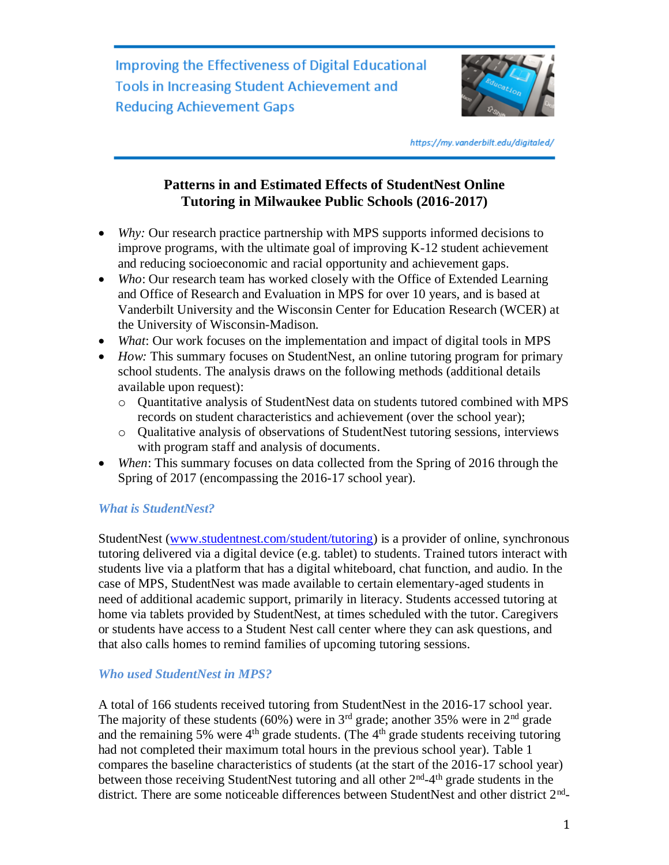Improving the Effectiveness of Digital Educational **Tools in Increasing Student Achievement and Reducing Achievement Gaps** 



https://my.vanderbilt.edu/digitaled/

# **Patterns in and Estimated Effects of StudentNest Online Tutoring in Milwaukee Public Schools (2016-2017)**

- *Why:* Our research practice partnership with MPS supports informed decisions to improve programs, with the ultimate goal of improving K-12 student achievement and reducing socioeconomic and racial opportunity and achievement gaps.
- *Who*: Our research team has worked closely with the Office of Extended Learning and Office of Research and Evaluation in MPS for over 10 years, and is based at Vanderbilt University and the Wisconsin Center for Education Research (WCER) at the University of Wisconsin-Madison.
- *What*: Our work focuses on the implementation and impact of digital tools in MPS
- *How:* This summary focuses on StudentNest, an online tutoring program for primary school students. The analysis draws on the following methods (additional details available upon request):
	- o Quantitative analysis of StudentNest data on students tutored combined with MPS records on student characteristics and achievement (over the school year);
	- o Qualitative analysis of observations of StudentNest tutoring sessions, interviews with program staff and analysis of documents.
- *When*: This summary focuses on data collected from the Spring of 2016 through the Spring of 2017 (encompassing the 2016-17 school year).

# *What is StudentNest?*

StudentNest [\(www.studentnest.com/student/tutoring\)](http://www.studentnest.com/student/tutoring) is a provider of online, synchronous tutoring delivered via a digital device (e.g. tablet) to students. Trained tutors interact with students live via a platform that has a digital whiteboard, chat function, and audio. In the case of MPS, StudentNest was made available to certain elementary-aged students in need of additional academic support, primarily in literacy. Students accessed tutoring at home via tablets provided by StudentNest, at times scheduled with the tutor. Caregivers or students have access to a Student Nest call center where they can ask questions, and that also calls homes to remind families of upcoming tutoring sessions.

# *Who used StudentNest in MPS?*

A total of 166 students received tutoring from StudentNest in the 2016-17 school year. The majority of these students (60%) were in  $3<sup>rd</sup>$  grade; another 35% were in  $2<sup>nd</sup>$  grade and the remaining 5% were  $4<sup>th</sup>$  grade students. (The  $4<sup>th</sup>$  grade students receiving tutoring had not completed their maximum total hours in the previous school year). Table 1 compares the baseline characteristics of students (at the start of the 2016-17 school year) between those receiving StudentNest tutoring and all other  $2<sup>nd</sup> - 4<sup>th</sup>$  grade students in the district. There are some noticeable differences between StudentNest and other district 2<sup>nd</sup>-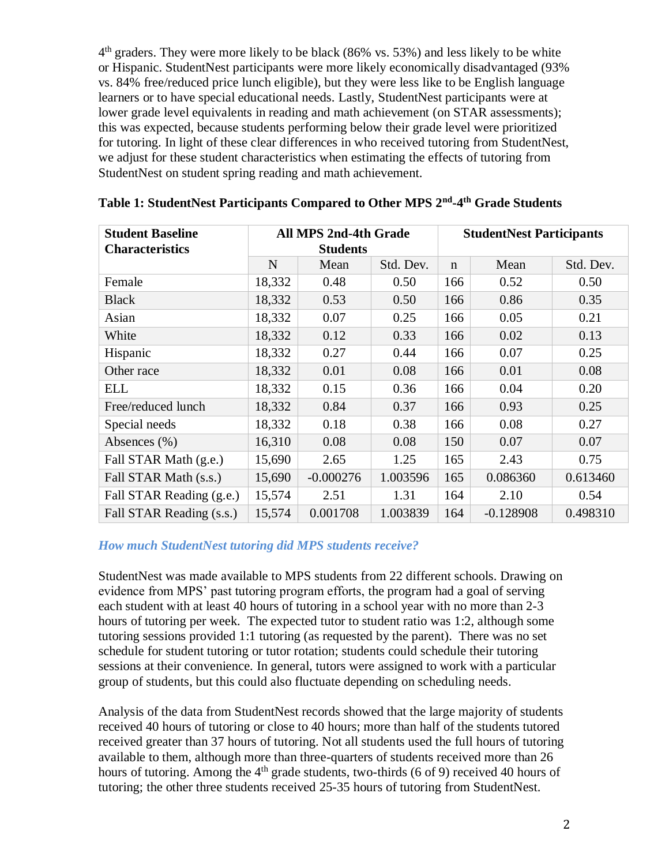4<sup>th</sup> graders. They were more likely to be black (86% vs. 53%) and less likely to be white or Hispanic. StudentNest participants were more likely economically disadvantaged (93% vs. 84% free/reduced price lunch eligible), but they were less like to be English language learners or to have special educational needs. Lastly, StudentNest participants were at lower grade level equivalents in reading and math achievement (on STAR assessments); this was expected, because students performing below their grade level were prioritized for tutoring. In light of these clear differences in who received tutoring from StudentNest, we adjust for these student characteristics when estimating the effects of tutoring from StudentNest on student spring reading and math achievement.

| <b>Student Baseline</b><br><b>Characteristics</b> | <b>All MPS 2nd-4th Grade</b><br><b>Students</b> |             |           | <b>StudentNest Participants</b> |             |           |
|---------------------------------------------------|-------------------------------------------------|-------------|-----------|---------------------------------|-------------|-----------|
|                                                   | N                                               | Mean        | Std. Dev. | $\mathbf n$                     | Mean        | Std. Dev. |
| Female                                            | 18,332                                          | 0.48        | 0.50      | 166                             | 0.52        | 0.50      |
| <b>Black</b>                                      | 18,332                                          | 0.53        | 0.50      | 166                             | 0.86        | 0.35      |
| Asian                                             | 18,332                                          | 0.07        | 0.25      | 166                             | 0.05        | 0.21      |
| White                                             | 18,332                                          | 0.12        | 0.33      | 166                             | 0.02        | 0.13      |
| Hispanic                                          | 18,332                                          | 0.27        | 0.44      | 166                             | 0.07        | 0.25      |
| Other race                                        | 18,332                                          | 0.01        | 0.08      | 166                             | 0.01        | 0.08      |
| <b>ELL</b>                                        | 18,332                                          | 0.15        | 0.36      | 166                             | 0.04        | 0.20      |
| Free/reduced lunch                                | 18,332                                          | 0.84        | 0.37      | 166                             | 0.93        | 0.25      |
| Special needs                                     | 18,332                                          | 0.18        | 0.38      | 166                             | 0.08        | 0.27      |
| Absences (%)                                      | 16,310                                          | 0.08        | 0.08      | 150                             | 0.07        | 0.07      |
| Fall STAR Math (g.e.)                             | 15,690                                          | 2.65        | 1.25      | 165                             | 2.43        | 0.75      |
| Fall STAR Math (s.s.)                             | 15,690                                          | $-0.000276$ | 1.003596  | 165                             | 0.086360    | 0.613460  |
| Fall STAR Reading (g.e.)                          | 15,574                                          | 2.51        | 1.31      | 164                             | 2.10        | 0.54      |
| Fall STAR Reading (s.s.)                          | 15,574                                          | 0.001708    | 1.003839  | 164                             | $-0.128908$ | 0.498310  |

**Table 1: StudentNest Participants Compared to Other MPS 2nd -4 th Grade Students**

# *How much StudentNest tutoring did MPS students receive?*

StudentNest was made available to MPS students from 22 different schools. Drawing on evidence from MPS' past tutoring program efforts, the program had a goal of serving each student with at least 40 hours of tutoring in a school year with no more than 2-3 hours of tutoring per week. The expected tutor to student ratio was 1:2, although some tutoring sessions provided 1:1 tutoring (as requested by the parent). There was no set schedule for student tutoring or tutor rotation; students could schedule their tutoring sessions at their convenience. In general, tutors were assigned to work with a particular group of students, but this could also fluctuate depending on scheduling needs.

Analysis of the data from StudentNest records showed that the large majority of students received 40 hours of tutoring or close to 40 hours; more than half of the students tutored received greater than 37 hours of tutoring. Not all students used the full hours of tutoring available to them, although more than three-quarters of students received more than 26 hours of tutoring. Among the  $4<sup>th</sup>$  grade students, two-thirds (6 of 9) received 40 hours of tutoring; the other three students received 25-35 hours of tutoring from StudentNest.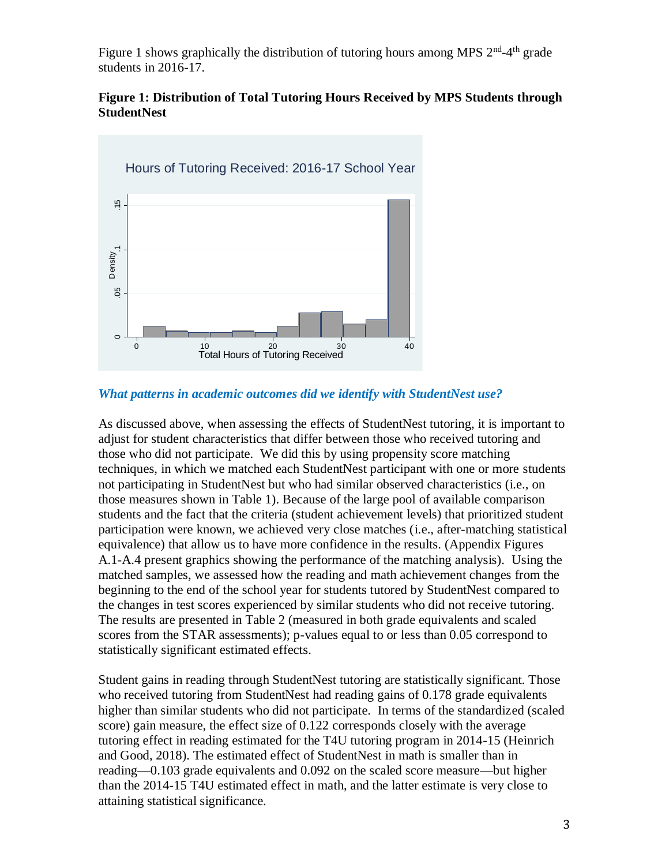Figure 1 shows graphically the distribution of tutoring hours among MPS  $2<sup>nd</sup>$ -4<sup>th</sup> grade students in 2016-17.

## **Figure 1: Distribution of Total Tutoring Hours Received by MPS Students through StudentNest**



## *What patterns in academic outcomes did we identify with StudentNest use?*

As discussed above, when assessing the effects of StudentNest tutoring, it is important to adjust for student characteristics that differ between those who received tutoring and those who did not participate. We did this by using propensity score matching techniques, in which we matched each StudentNest participant with one or more students not participating in StudentNest but who had similar observed characteristics (i.e., on those measures shown in Table 1). Because of the large pool of available comparison students and the fact that the criteria (student achievement levels) that prioritized student participation were known, we achieved very close matches (i.e., after-matching statistical equivalence) that allow us to have more confidence in the results. (Appendix Figures A.1-A.4 present graphics showing the performance of the matching analysis). Using the matched samples, we assessed how the reading and math achievement changes from the beginning to the end of the school year for students tutored by StudentNest compared to the changes in test scores experienced by similar students who did not receive tutoring. The results are presented in Table 2 (measured in both grade equivalents and scaled scores from the STAR assessments); p-values equal to or less than 0.05 correspond to statistically significant estimated effects.

Student gains in reading through StudentNest tutoring are statistically significant. Those who received tutoring from StudentNest had reading gains of 0.178 grade equivalents higher than similar students who did not participate. In terms of the standardized (scaled score) gain measure, the effect size of 0.122 corresponds closely with the average tutoring effect in reading estimated for the T4U tutoring program in 2014-15 (Heinrich and Good, 2018). The estimated effect of StudentNest in math is smaller than in reading—0.103 grade equivalents and 0.092 on the scaled score measure—but higher than the 2014-15 T4U estimated effect in math, and the latter estimate is very close to attaining statistical significance.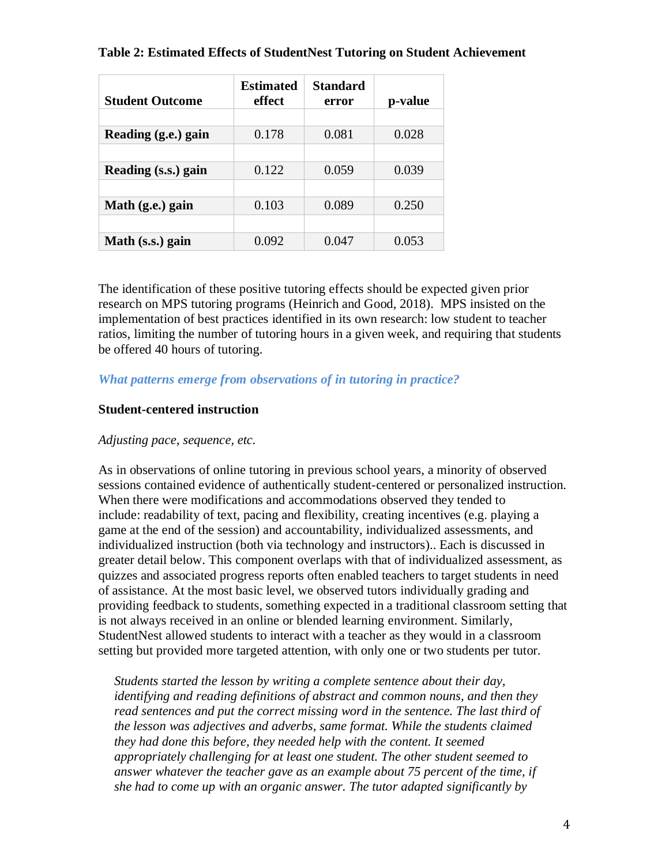| <b>Student Outcome</b> | <b>Estimated</b><br>effect | <b>Standard</b><br>error | p-value |
|------------------------|----------------------------|--------------------------|---------|
|                        |                            |                          |         |
| Reading (g.e.) gain    | 0.178                      | 0.081                    | 0.028   |
|                        |                            |                          |         |
| Reading (s.s.) gain    | 0.122                      | 0.059                    | 0.039   |
|                        |                            |                          |         |
| Math (g.e.) gain       | 0.103                      | 0.089                    | 0.250   |
|                        |                            |                          |         |
| Math (s.s.) gain       | 0.092                      | 0.047                    | 0.053   |

## **Table 2: Estimated Effects of StudentNest Tutoring on Student Achievement**

The identification of these positive tutoring effects should be expected given prior research on MPS tutoring programs (Heinrich and Good, 2018). MPS insisted on the implementation of best practices identified in its own research: low student to teacher ratios, limiting the number of tutoring hours in a given week, and requiring that students be offered 40 hours of tutoring.

## *What patterns emerge from observations of in tutoring in practice?*

## **Student-centered instruction**

#### *Adjusting pace, sequence, etc.*

As in observations of online tutoring in previous school years, a minority of observed sessions contained evidence of authentically student-centered or personalized instruction. When there were modifications and accommodations observed they tended to include: readability of text, pacing and flexibility, creating incentives (e.g. playing a game at the end of the session) and accountability, individualized assessments, and individualized instruction (both via technology and instructors).. Each is discussed in greater detail below. This component overlaps with that of individualized assessment, as quizzes and associated progress reports often enabled teachers to target students in need of assistance. At the most basic level, we observed tutors individually grading and providing feedback to students, something expected in a traditional classroom setting that is not always received in an online or blended learning environment. Similarly, StudentNest allowed students to interact with a teacher as they would in a classroom setting but provided more targeted attention, with only one or two students per tutor.

*Students started the lesson by writing a complete sentence about their day, identifying and reading definitions of abstract and common nouns, and then they read sentences and put the correct missing word in the sentence. The last third of the lesson was adjectives and adverbs, same format. While the students claimed they had done this before, they needed help with the content. It seemed appropriately challenging for at least one student. The other student seemed to answer whatever the teacher gave as an example about 75 percent of the time, if she had to come up with an organic answer. The tutor adapted significantly by*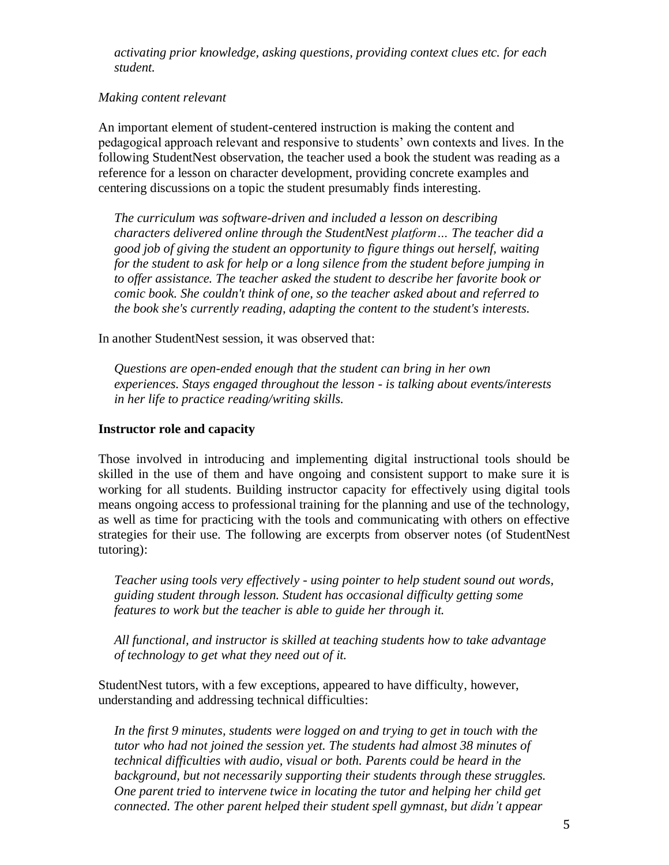*activating prior knowledge, asking questions, providing context clues etc. for each student.*

## *Making content relevant*

An important element of student-centered instruction is making the content and pedagogical approach relevant and responsive to students' own contexts and lives. In the following StudentNest observation, the teacher used a book the student was reading as a reference for a lesson on character development, providing concrete examples and centering discussions on a topic the student presumably finds interesting.

*The curriculum was software-driven and included a lesson on describing characters delivered online through the StudentNest platform… The teacher did a good job of giving the student an opportunity to figure things out herself, waiting for the student to ask for help or a long silence from the student before jumping in to offer assistance. The teacher asked the student to describe her favorite book or comic book. She couldn't think of one, so the teacher asked about and referred to the book she's currently reading, adapting the content to the student's interests.*

In another StudentNest session, it was observed that:

*Questions are open-ended enough that the student can bring in her own experiences. Stays engaged throughout the lesson - is talking about events/interests in her life to practice reading/writing skills.*

### **Instructor role and capacity**

Those involved in introducing and implementing digital instructional tools should be skilled in the use of them and have ongoing and consistent support to make sure it is working for all students. Building instructor capacity for effectively using digital tools means ongoing access to professional training for the planning and use of the technology, as well as time for practicing with the tools and communicating with others on effective strategies for their use. The following are excerpts from observer notes (of StudentNest tutoring):

*Teacher using tools very effectively - using pointer to help student sound out words, guiding student through lesson. Student has occasional difficulty getting some features to work but the teacher is able to guide her through it.*

*All functional, and instructor is skilled at teaching students how to take advantage of technology to get what they need out of it.*

StudentNest tutors, with a few exceptions, appeared to have difficulty, however, understanding and addressing technical difficulties:

*In the first 9 minutes, students were logged on and trying to get in touch with the tutor who had not joined the session yet. The students had almost 38 minutes of technical difficulties with audio, visual or both. Parents could be heard in the background, but not necessarily supporting their students through these struggles. One parent tried to intervene twice in locating the tutor and helping her child get connected. The other parent helped their student spell gymnast, but didn't appear*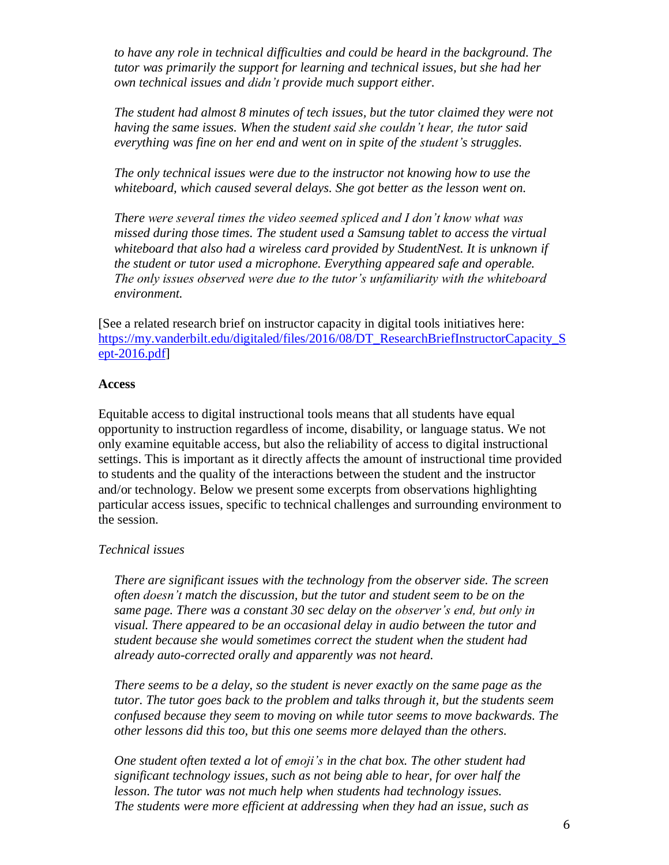*to have any role in technical difficulties and could be heard in the background. The tutor was primarily the support for learning and technical issues, but she had her own technical issues and didn't provide much support either.*

*The student had almost 8 minutes of tech issues, but the tutor claimed they were not having the same issues. When the student said she couldn't hear, the tutor said everything was fine on her end and went on in spite of the student's struggles.*

*The only technical issues were due to the instructor not knowing how to use the whiteboard, which caused several delays. She got better as the lesson went on.*

*There were several times the video seemed spliced and I don't know what was missed during those times. The student used a Samsung tablet to access the virtual whiteboard that also had a wireless card provided by StudentNest. It is unknown if the student or tutor used a microphone. Everything appeared safe and operable. The only issues observed were due to the tutor's unfamiliarity with the whiteboard environment.*

[See a related research brief on instructor capacity in digital tools initiatives here: [https://my.vanderbilt.edu/digitaled/files/2016/08/DT\\_ResearchBriefInstructorCapacity\\_S](https://my.vanderbilt.edu/digitaled/files/2016/08/DT_ResearchBriefInstructorCapacity_Sept-2016.pdf) [ept-2016.pdf\]](https://my.vanderbilt.edu/digitaled/files/2016/08/DT_ResearchBriefInstructorCapacity_Sept-2016.pdf)

## **Access**

Equitable access to digital instructional tools means that all students have equal opportunity to instruction regardless of income, disability, or language status. We not only examine equitable access, but also the reliability of access to digital instructional settings. This is important as it directly affects the amount of instructional time provided to students and the quality of the interactions between the student and the instructor and/or technology. Below we present some excerpts from observations highlighting particular access issues, specific to technical challenges and surrounding environment to the session.

#### *Technical issues*

*There are significant issues with the technology from the observer side. The screen often doesn't match the discussion, but the tutor and student seem to be on the same page. There was a constant 30 sec delay on the observer's end, but only in visual. There appeared to be an occasional delay in audio between the tutor and student because she would sometimes correct the student when the student had already auto-corrected orally and apparently was not heard.*

*There seems to be a delay, so the student is never exactly on the same page as the tutor. The tutor goes back to the problem and talks through it, but the students seem confused because they seem to moving on while tutor seems to move backwards. The other lessons did this too, but this one seems more delayed than the others.*

*One student often texted a lot of emoji's in the chat box. The other student had significant technology issues, such as not being able to hear, for over half the lesson. The tutor was not much help when students had technology issues. The students were more efficient at addressing when they had an issue, such as*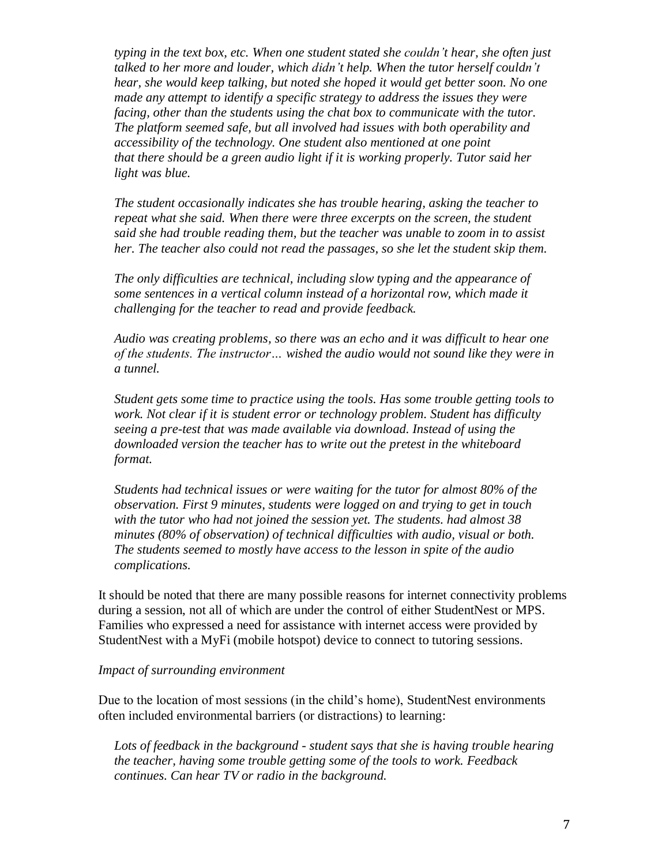*typing in the text box, etc. When one student stated she couldn't hear, she often just talked to her more and louder, which didn't help. When the tutor herself couldn't hear, she would keep talking, but noted she hoped it would get better soon. No one made any attempt to identify a specific strategy to address the issues they were facing, other than the students using the chat box to communicate with the tutor. The platform seemed safe, but all involved had issues with both operability and accessibility of the technology. One student also mentioned at one point that there should be a green audio light if it is working properly. Tutor said her light was blue.*

*The student occasionally indicates she has trouble hearing, asking the teacher to repeat what she said. When there were three excerpts on the screen, the student said she had trouble reading them, but the teacher was unable to zoom in to assist her. The teacher also could not read the passages, so she let the student skip them.*

*The only difficulties are technical, including slow typing and the appearance of some sentences in a vertical column instead of a horizontal row, which made it challenging for the teacher to read and provide feedback.*

*Audio was creating problems, so there was an echo and it was difficult to hear one of the students. The instructor… wished the audio would not sound like they were in a tunnel.*

*Student gets some time to practice using the tools. Has some trouble getting tools to work. Not clear if it is student error or technology problem. Student has difficulty seeing a pre-test that was made available via download. Instead of using the downloaded version the teacher has to write out the pretest in the whiteboard format.*

*Students had technical issues or were waiting for the tutor for almost 80% of the observation. First 9 minutes, students were logged on and trying to get in touch with the tutor who had not joined the session yet. The students. had almost 38 minutes (80% of observation) of technical difficulties with audio, visual or both. The students seemed to mostly have access to the lesson in spite of the audio complications.*

It should be noted that there are many possible reasons for internet connectivity problems during a session, not all of which are under the control of either StudentNest or MPS. Families who expressed a need for assistance with internet access were provided by StudentNest with a MyFi (mobile hotspot) device to connect to tutoring sessions.

#### *Impact of surrounding environment*

Due to the location of most sessions (in the child's home), StudentNest environments often included environmental barriers (or distractions) to learning:

*Lots of feedback in the background - student says that she is having trouble hearing the teacher, having some trouble getting some of the tools to work. Feedback continues. Can hear TV or radio in the background.*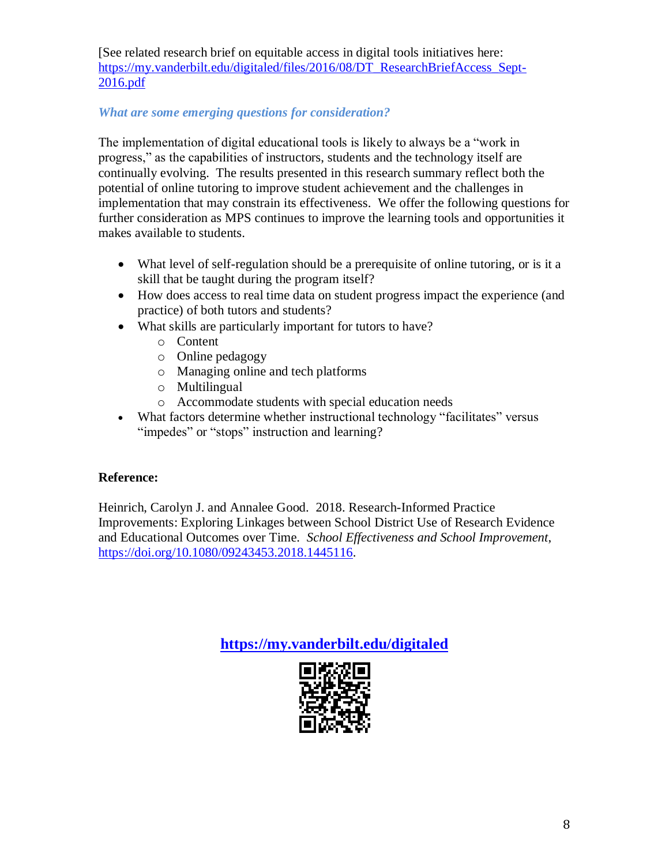[See related research brief on equitable access in digital tools initiatives here: [https://my.vanderbilt.edu/digitaled/files/2016/08/DT\\_ResearchBriefAccess\\_Sept-](https://my.vanderbilt.edu/digitaled/files/2016/08/DT_ResearchBriefAccess_Sept-2016.pdf)[2016.pdf](https://my.vanderbilt.edu/digitaled/files/2016/08/DT_ResearchBriefAccess_Sept-2016.pdf)

# *What are some emerging questions for consideration?*

The implementation of digital educational tools is likely to always be a "work in progress," as the capabilities of instructors, students and the technology itself are continually evolving. The results presented in this research summary reflect both the potential of online tutoring to improve student achievement and the challenges in implementation that may constrain its effectiveness. We offer the following questions for further consideration as MPS continues to improve the learning tools and opportunities it makes available to students.

- What level of self-regulation should be a prerequisite of online tutoring, or is it a skill that be taught during the program itself?
- How does access to real time data on student progress impact the experience (and practice) of both tutors and students?
- What skills are particularly important for tutors to have?
	- o Content
	- o Online pedagogy
	- o Managing online and tech platforms
	- o Multilingual
	- o Accommodate students with special education needs
- What factors determine whether instructional technology "facilitates" versus "impedes" or "stops" instruction and learning?

# **Reference:**

Heinrich, Carolyn J. and Annalee Good. 2018. Research-Informed Practice Improvements: Exploring Linkages between School District Use of Research Evidence and Educational Outcomes over Time. *School Effectiveness and School Improvement*, [https://doi.org/10.1080/09243453.2018.1445116.](https://doi.org/10.1080/09243453.2018.1445116)

**<https://my.vanderbilt.edu/digitaled>**

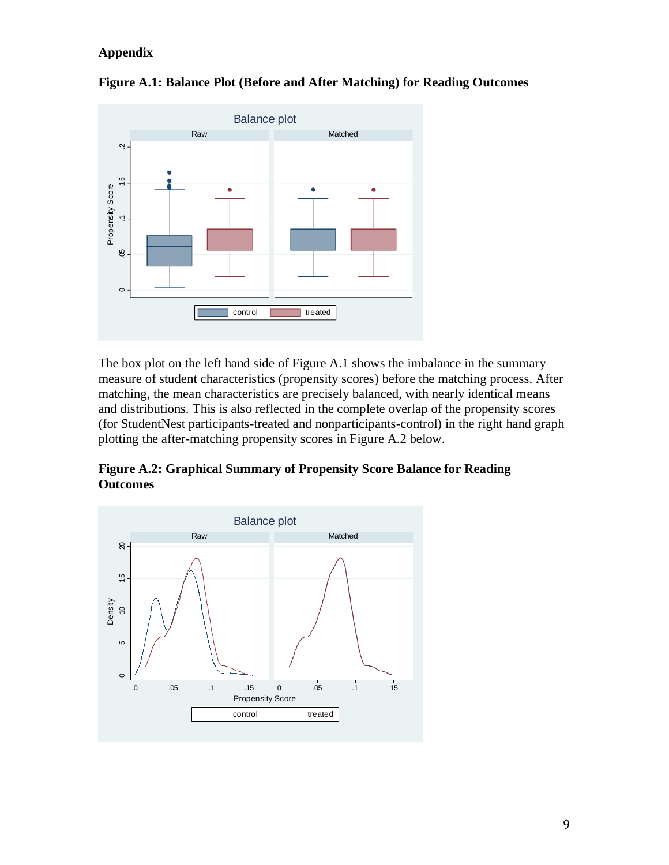# **Appendix**



**Figure A.1: Balance Plot (Before and After Matching) for Reading Outcomes**

The box plot on the left hand side of Figure A.1 shows the imbalance in the summary measure of student characteristics (propensity scores) before the matching process. After matching, the mean characteristics are precisely balanced, with nearly identical means and distributions. This is also reflected in the complete overlap of the propensity scores (for StudentNest participants-treated and nonparticipants-control) in the right hand graph plotting the after-matching propensity scores in Figure A.2 below.

**Figure A.2: Graphical Summary of Propensity Score Balance for Reading Outcomes**